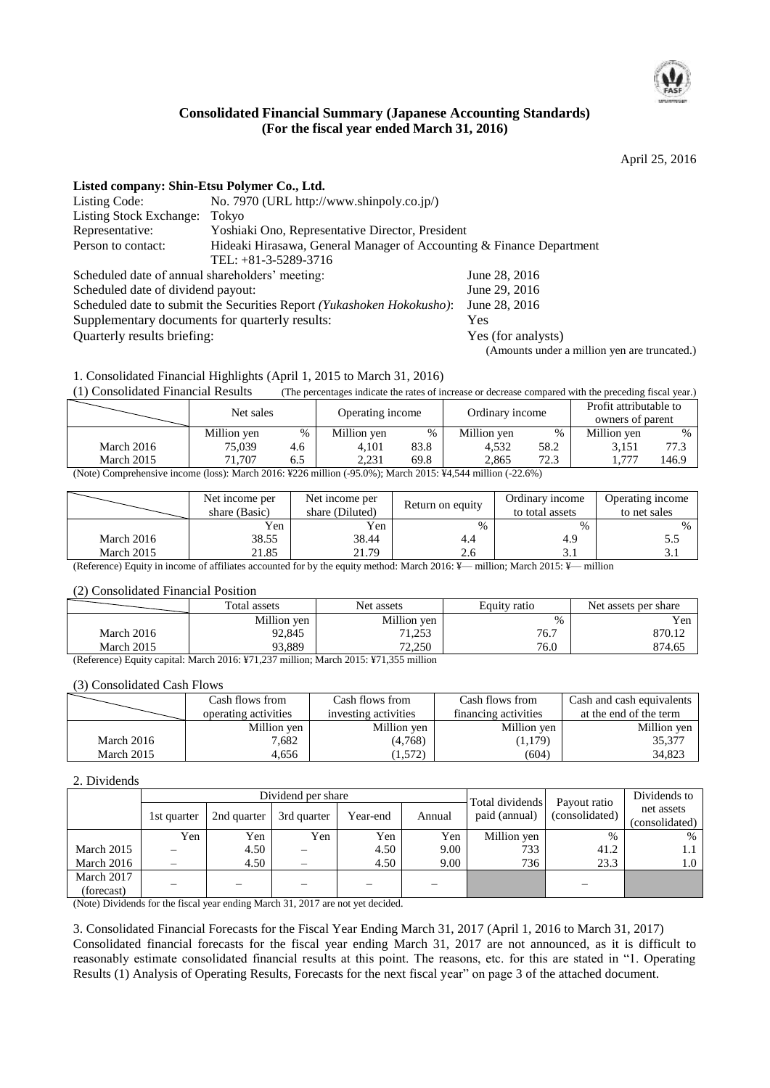

# **Consolidated Financial Summary (Japanese Accounting Standards) (For the fiscal year ended March 31, 2016)**

April 25, 2016

| Listed company: Shin-Etsu Polymer Co., Ltd.     |                                                                                                |                                                                    |
|-------------------------------------------------|------------------------------------------------------------------------------------------------|--------------------------------------------------------------------|
| Listing Code:                                   | No. 7970 (URL http://www.shinpoly.co.jp/)                                                      |                                                                    |
| <b>Listing Stock Exchange:</b>                  | Tokyo                                                                                          |                                                                    |
| Representative:                                 | Yoshiaki Ono, Representative Director, President                                               |                                                                    |
| Person to contact:                              | Hideaki Hirasawa, General Manager of Accounting & Finance Department<br>TEL: $+81-3-5289-3716$ |                                                                    |
| Scheduled date of annual shareholders' meeting: |                                                                                                | June 28, 2016                                                      |
| Scheduled date of dividend payout:              |                                                                                                | June 29, 2016                                                      |
|                                                 | Scheduled date to submit the Securities Report (Yukashoken Hokokusho):                         | June 28, 2016                                                      |
| Supplementary documents for quarterly results:  |                                                                                                | Yes                                                                |
| Quarterly results briefing:                     |                                                                                                | Yes (for analysts)<br>(Amounts under a million yen are truncated.) |

1. Consolidated Financial Highlights (April 1, 2015 to March 31, 2016)

(1) Consolidated Financial Results (The percentages indicate the rates of increase or decrease compared with the preceding fiscal year.)

|                                                                                                            | Net sales   |     | Operating income |      | Ordinary income |      | Profit attributable to<br>owners of parent |       |
|------------------------------------------------------------------------------------------------------------|-------------|-----|------------------|------|-----------------|------|--------------------------------------------|-------|
|                                                                                                            | Million yen | %   | Million yen      | $\%$ | Million yen     | %    | Million yen                                | $\%$  |
| March 2016                                                                                                 | 75,039      | 4.6 | 4.101            | 83.8 | 4.532           | 58.2 | 3.151                                      | 77.3  |
| March 2015                                                                                                 | 71.707      | 6.5 | 2.231            | 69.8 | 2.865           | 72.3 | 1.771                                      | 146.9 |
| (Note) Comprehensive income (loss): March 2016: ¥226 million (-95.0%); March 2015: ¥4,544 million (-22.6%) |             |     |                  |      |                 |      |                                            |       |

|            | Net income per<br>share (Basic) | Net income per<br>share (Diluted) | Return on equity | Ordinary income<br>to total assets | Operating income<br>to net sales |
|------------|---------------------------------|-----------------------------------|------------------|------------------------------------|----------------------------------|
|            | Yen                             | Yen                               | $\%$             | $\%$                               | $\%$                             |
| March 2016 | 38.55                           | 38.44                             |                  | 4.9                                |                                  |
| March 2015 | 21.85                           | 21.79                             | 2.6              | ه د                                | J.I                              |

(Reference) Equity in income of affiliates accounted for by the equity method: March 2016: ¥— million; March 2015: ¥— million

#### (2) Consolidated Financial Position

|                                 | Total assets                      | Net assets                                | Equity ratio | Net assets per share |  |
|---------------------------------|-----------------------------------|-------------------------------------------|--------------|----------------------|--|
|                                 | Million yen                       | Million yen                               | $\%$         | Yen                  |  |
| March 2016                      | 92.845                            | 71, 052<br>ل رے⊾ 1                        | 76.7         | 870.12               |  |
| March 2015                      | 93.889                            | 72,250                                    | 76.0         | 874.65               |  |
| $\mathbf{r}$<br>.<br>$\sqrt{2}$ | $\cdots$<br>$0.01 \times 3771000$ | <br>$0.015$ $5771$ $0.55$<br>$\mathbf{r}$ |              |                      |  |

(Reference) Equity capital: March 2016: ¥71,237 million; March 2015: ¥71,355 million

#### (3) Consolidated Cash Flows

|            | Cash flows from      | Cash flows from      | Cash flows from      | Cash and cash equivalents |
|------------|----------------------|----------------------|----------------------|---------------------------|
|            | operating activities | investing activities | financing activities | at the end of the term    |
|            | Million yen          | Million yen          | Million yen          | Million yen               |
| March 2016 | 7.682                | (4,768)              | (1,179)              | 35.377                    |
| March 2015 | 4,656                | 1,572)               | (604)                | 34.823                    |

#### 2. Dividends

|            | Dividend per share |             |             |          |        | Total dividends | Payout ratio   | Dividends to                 |
|------------|--------------------|-------------|-------------|----------|--------|-----------------|----------------|------------------------------|
|            | 1st quarter        | 2nd quarter | 3rd quarter | Year-end | Annual | paid (annual)   | (consolidated) | net assets<br>(consolidated) |
|            | Yen                | Yen         | Yen         | Yen      | Yen    | Million yen     | %              | $\%$                         |
| March 2015 |                    | 4.50        |             | 4.50     | 9.00   | 733             | 41.2           | 1.1                          |
| March 2016 |                    | 4.50        |             | 4.50     | 9.00   | 736             | 23.3           | 1.0                          |
| March 2017 |                    |             |             |          |        |                 |                |                              |
| (forecast) |                    |             |             |          |        |                 |                |                              |

(Note) Dividends for the fiscal year ending March 31, 2017 are not yet decided.

3. Consolidated Financial Forecasts for the Fiscal Year Ending March 31, 2017 (April 1, 2016 to March 31, 2017) Consolidated financial forecasts for the fiscal year ending March 31, 2017 are not announced, as it is difficult to reasonably estimate consolidated financial results at this point. The reasons, etc. for this are stated in "1. Operating Results (1) Analysis of Operating Results, Forecasts for the next fiscal year" on page 3 of the attached document.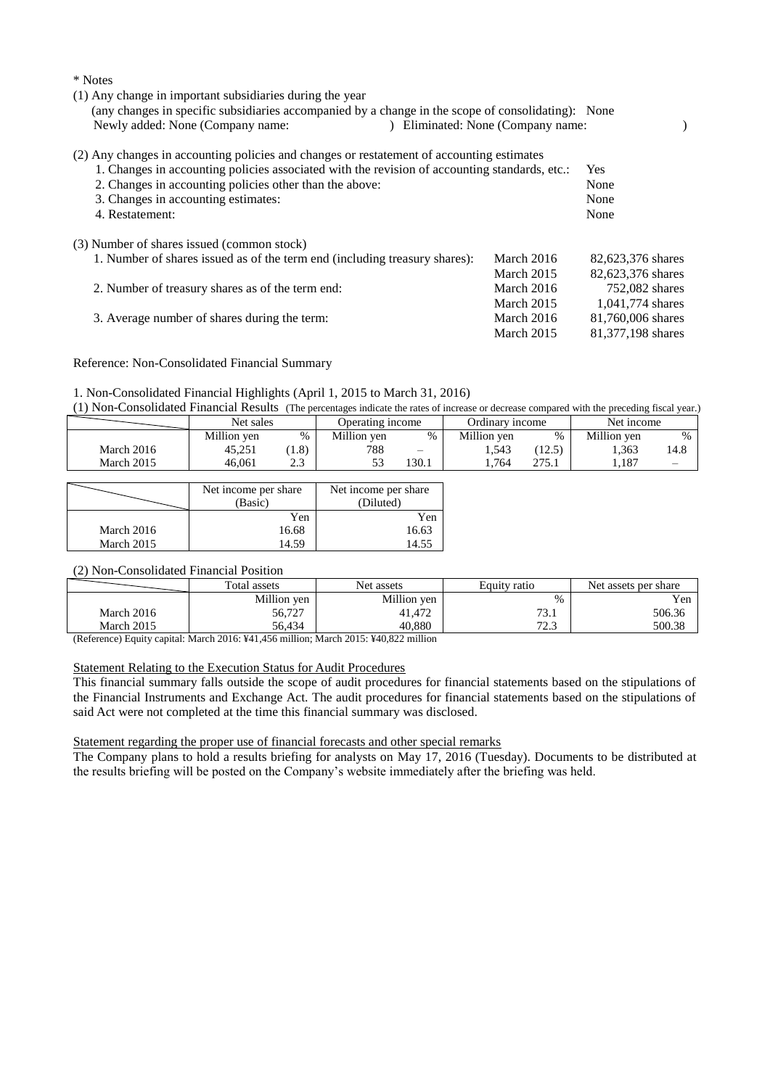| * Notes                                                                                            |                                   |                   |
|----------------------------------------------------------------------------------------------------|-----------------------------------|-------------------|
| (1) Any change in important subsidiaries during the year                                           |                                   |                   |
| (any changes in specific subsidiaries accompanied by a change in the scope of consolidating): None |                                   |                   |
| Newly added: None (Company name:                                                                   | ) Eliminated: None (Company name: |                   |
| (2) Any changes in accounting policies and changes or restatement of accounting estimates          |                                   |                   |
| 1. Changes in accounting policies associated with the revision of accounting standards, etc.:      |                                   | <b>Yes</b>        |
| 2. Changes in accounting policies other than the above:                                            |                                   | None              |
| 3. Changes in accounting estimates:                                                                |                                   | None              |
| 4. Restatement:                                                                                    |                                   | None              |
| (3) Number of shares issued (common stock)                                                         |                                   |                   |
| 1. Number of shares issued as of the term end (including treasury shares):                         | March 2016                        | 82,623,376 shares |
|                                                                                                    | March 2015                        | 82,623,376 shares |
| 2. Number of treasury shares as of the term end:                                                   | March 2016                        | 752,082 shares    |
|                                                                                                    | March 2015                        | 1,041,774 shares  |
| 3. Average number of shares during the term:                                                       | March 2016                        | 81,760,006 shares |
|                                                                                                    | March 2015                        | 81,377,198 shares |

#### Reference: Non-Consolidated Financial Summary

#### 1. Non-Consolidated Financial Highlights (April 1, 2015 to March 31, 2016)

(1) Non-Consolidated Financial Results (The percentages indicate the rates of increase or decrease compared with the preceding fiscal year.)

|            | Net sales   |              | Operating income |                 | Ordinary income |        | Net income  |      |
|------------|-------------|--------------|------------------|-----------------|-----------------|--------|-------------|------|
|            | Million yen | %            | Million yen      | $\%$            | Million ven     | $\%$   | Million ven | $\%$ |
| March 2016 | 45,251      | (0.8)        | 788              | $\qquad \qquad$ | 1.543           | (12.5) | 1.363       | 14.8 |
| March 2015 | 46.061      | n n<br>ن و گ | ັ                | 130.1           | 1.764           | າາເ    | 1.187       |      |

|            | Net income per share<br>(Basic) | Net income per share<br>(Diluted) |
|------------|---------------------------------|-----------------------------------|
|            | Yen                             | Yen                               |
| March 2016 | 16.68                           | 16.63                             |
| March 2015 | 14.59                           | 14.55                             |

# (2) Non-Consolidated Financial Position

|            | Total assets | Net assets  | Equity ratio   | Net assets per share |  |
|------------|--------------|-------------|----------------|----------------------|--|
|            | Million yen  | Million yen | $\%$           | Yen                  |  |
| March 2016 | 56,727       | 41,472      | 73.1           | 506.36               |  |
| March 2015 | 56.434       | 40.880      | 72.2<br>ر… ے ا | 500.38               |  |

(Reference) Equity capital: March 2016: ¥41,456 million; March 2015: ¥40,822 million

# Statement Relating to the Execution Status for Audit Procedures

This financial summary falls outside the scope of audit procedures for financial statements based on the stipulations of the Financial Instruments and Exchange Act. The audit procedures for financial statements based on the stipulations of said Act were not completed at the time this financial summary was disclosed.

#### Statement regarding the proper use of financial forecasts and other special remarks

The Company plans to hold a results briefing for analysts on May 17, 2016 (Tuesday). Documents to be distributed at the results briefing will be posted on the Company's website immediately after the briefing was held.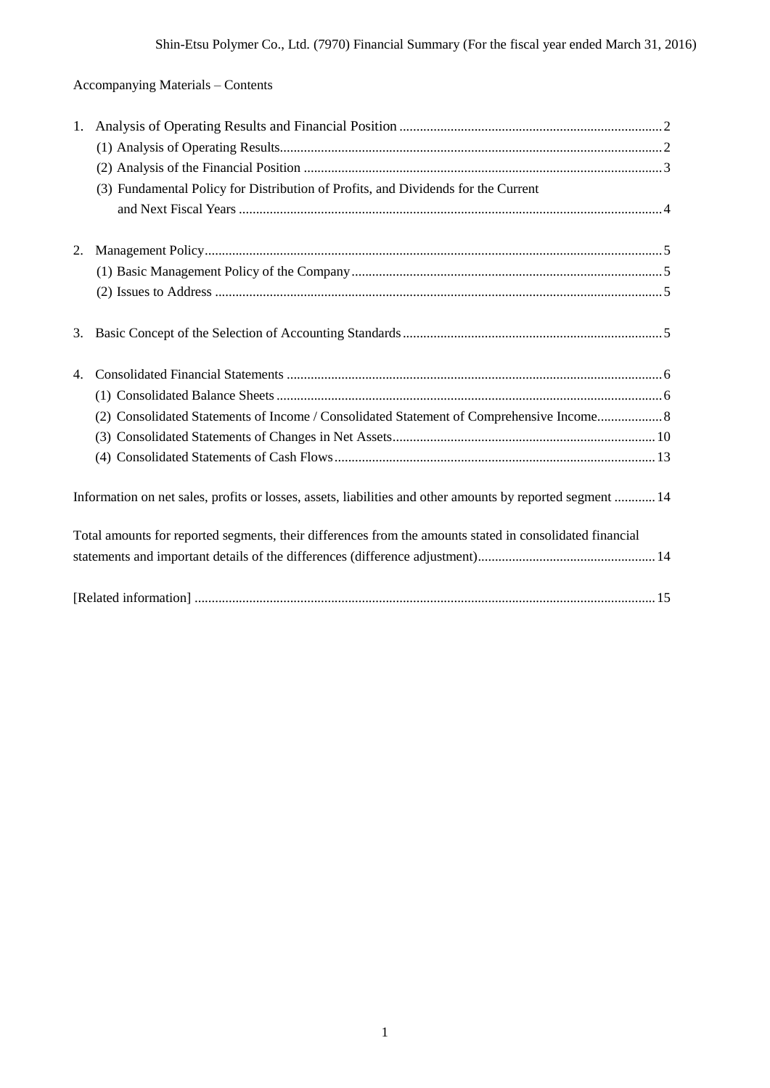# Accompanying Materials – Contents

| 1.          | (3) Fundamental Policy for Distribution of Profits, and Dividends for the Current                          |
|-------------|------------------------------------------------------------------------------------------------------------|
| 2.          |                                                                                                            |
|             |                                                                                                            |
| 3.          |                                                                                                            |
| $4_{\cdot}$ | (2) Consolidated Statements of Income / Consolidated Statement of Comprehensive Income 8                   |
|             | Information on net sales, profits or losses, assets, liabilities and other amounts by reported segment  14 |
|             | Total amounts for reported segments, their differences from the amounts stated in consolidated financial   |
|             |                                                                                                            |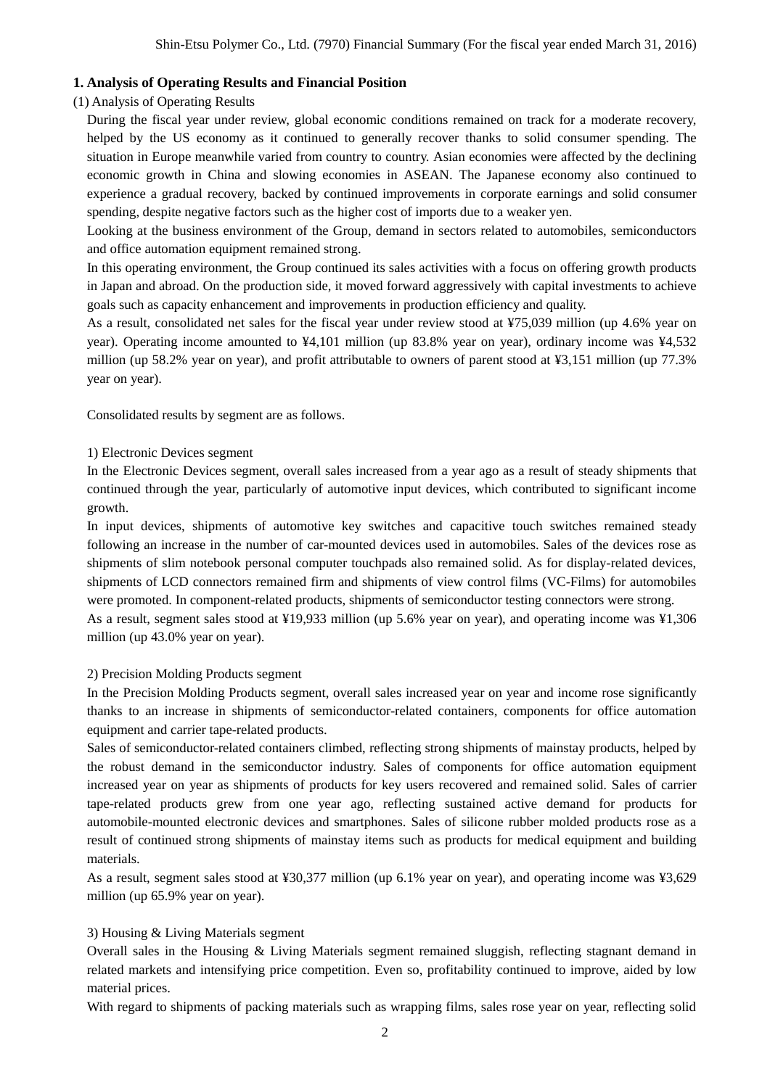## **1. Analysis of Operating Results and Financial Position**

#### (1) Analysis of Operating Results

During the fiscal year under review, global economic conditions remained on track for a moderate recovery, helped by the US economy as it continued to generally recover thanks to solid consumer spending. The situation in Europe meanwhile varied from country to country. Asian economies were affected by the declining economic growth in China and slowing economies in ASEAN. The Japanese economy also continued to experience a gradual recovery, backed by continued improvements in corporate earnings and solid consumer spending, despite negative factors such as the higher cost of imports due to a weaker yen.

Looking at the business environment of the Group, demand in sectors related to automobiles, semiconductors and office automation equipment remained strong.

In this operating environment, the Group continued its sales activities with a focus on offering growth products in Japan and abroad. On the production side, it moved forward aggressively with capital investments to achieve goals such as capacity enhancement and improvements in production efficiency and quality.

As a result, consolidated net sales for the fiscal year under review stood at ¥75,039 million (up 4.6% year on year). Operating income amounted to ¥4,101 million (up 83.8% year on year), ordinary income was ¥4,532 million (up 58.2% year on year), and profit attributable to owners of parent stood at ¥3,151 million (up 77.3% year on year).

Consolidated results by segment are as follows.

#### 1) Electronic Devices segment

In the Electronic Devices segment, overall sales increased from a year ago as a result of steady shipments that continued through the year, particularly of automotive input devices, which contributed to significant income growth.

In input devices, shipments of automotive key switches and capacitive touch switches remained steady following an increase in the number of car-mounted devices used in automobiles. Sales of the devices rose as shipments of slim notebook personal computer touchpads also remained solid. As for display-related devices, shipments of LCD connectors remained firm and shipments of view control films (VC-Films) for automobiles were promoted. In component-related products, shipments of semiconductor testing connectors were strong.

As a result, segment sales stood at ¥19,933 million (up 5.6% year on year), and operating income was ¥1,306 million (up 43.0% year on year).

#### 2) Precision Molding Products segment

In the Precision Molding Products segment, overall sales increased year on year and income rose significantly thanks to an increase in shipments of semiconductor-related containers, components for office automation equipment and carrier tape-related products.

Sales of semiconductor-related containers climbed, reflecting strong shipments of mainstay products, helped by the robust demand in the semiconductor industry. Sales of components for office automation equipment increased year on year as shipments of products for key users recovered and remained solid. Sales of carrier tape-related products grew from one year ago, reflecting sustained active demand for products for automobile-mounted electronic devices and smartphones. Sales of silicone rubber molded products rose as a result of continued strong shipments of mainstay items such as products for medical equipment and building materials.

As a result, segment sales stood at ¥30,377 million (up 6.1% year on year), and operating income was ¥3,629 million (up 65.9% year on year).

## 3) Housing & Living Materials segment

Overall sales in the Housing & Living Materials segment remained sluggish, reflecting stagnant demand in related markets and intensifying price competition. Even so, profitability continued to improve, aided by low material prices.

With regard to shipments of packing materials such as wrapping films, sales rose year on year, reflecting solid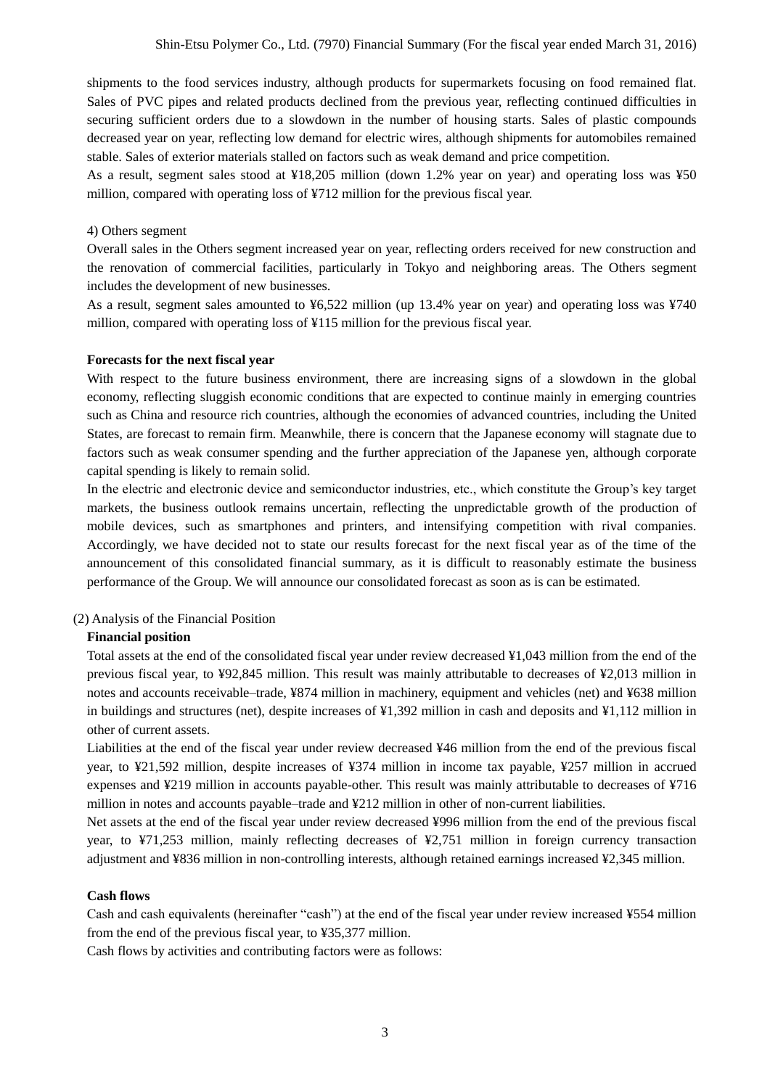shipments to the food services industry, although products for supermarkets focusing on food remained flat. Sales of PVC pipes and related products declined from the previous year, reflecting continued difficulties in securing sufficient orders due to a slowdown in the number of housing starts. Sales of plastic compounds decreased year on year, reflecting low demand for electric wires, although shipments for automobiles remained stable. Sales of exterior materials stalled on factors such as weak demand and price competition.

As a result, segment sales stood at ¥18,205 million (down 1.2% year on year) and operating loss was ¥50 million, compared with operating loss of ¥712 million for the previous fiscal year.

#### 4) Others segment

Overall sales in the Others segment increased year on year, reflecting orders received for new construction and the renovation of commercial facilities, particularly in Tokyo and neighboring areas. The Others segment includes the development of new businesses.

As a result, segment sales amounted to ¥6,522 million (up 13.4% year on year) and operating loss was ¥740 million, compared with operating loss of ¥115 million for the previous fiscal year.

#### **Forecasts for the next fiscal year**

With respect to the future business environment, there are increasing signs of a slowdown in the global economy, reflecting sluggish economic conditions that are expected to continue mainly in emerging countries such as China and resource rich countries, although the economies of advanced countries, including the United States, are forecast to remain firm. Meanwhile, there is concern that the Japanese economy will stagnate due to factors such as weak consumer spending and the further appreciation of the Japanese yen, although corporate capital spending is likely to remain solid.

In the electric and electronic device and semiconductor industries, etc., which constitute the Group's key target markets, the business outlook remains uncertain, reflecting the unpredictable growth of the production of mobile devices, such as smartphones and printers, and intensifying competition with rival companies. Accordingly, we have decided not to state our results forecast for the next fiscal year as of the time of the announcement of this consolidated financial summary, as it is difficult to reasonably estimate the business performance of the Group. We will announce our consolidated forecast as soon as is can be estimated.

#### (2) Analysis of the Financial Position

#### **Financial position**

Total assets at the end of the consolidated fiscal year under review decreased ¥1,043 million from the end of the previous fiscal year, to ¥92,845 million. This result was mainly attributable to decreases of ¥2,013 million in notes and accounts receivable–trade, ¥874 million in machinery, equipment and vehicles (net) and ¥638 million in buildings and structures (net), despite increases of ¥1,392 million in cash and deposits and ¥1,112 million in other of current assets.

Liabilities at the end of the fiscal year under review decreased ¥46 million from the end of the previous fiscal year, to ¥21,592 million, despite increases of ¥374 million in income tax payable, ¥257 million in accrued expenses and ¥219 million in accounts payable-other. This result was mainly attributable to decreases of ¥716 million in notes and accounts payable–trade and ¥212 million in other of non-current liabilities.

Net assets at the end of the fiscal year under review decreased ¥996 million from the end of the previous fiscal year, to ¥71,253 million, mainly reflecting decreases of ¥2,751 million in foreign currency transaction adjustment and ¥836 million in non-controlling interests, although retained earnings increased ¥2,345 million.

#### **Cash flows**

Cash and cash equivalents (hereinafter "cash") at the end of the fiscal year under review increased ¥554 million from the end of the previous fiscal year, to ¥35,377 million.

Cash flows by activities and contributing factors were as follows: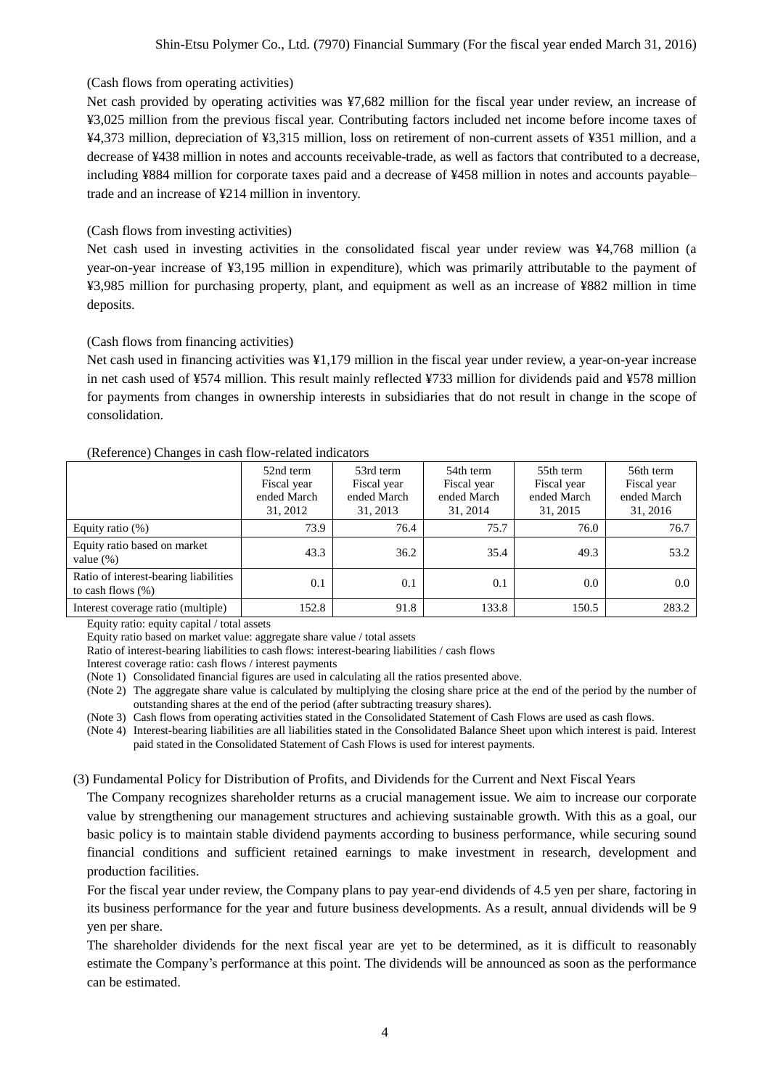# (Cash flows from operating activities)

Net cash provided by operating activities was ¥7,682 million for the fiscal year under review, an increase of ¥3,025 million from the previous fiscal year. Contributing factors included net income before income taxes of ¥4,373 million, depreciation of ¥3,315 million, loss on retirement of non-current assets of ¥351 million, and a decrease of ¥438 million in notes and accounts receivable-trade, as well as factors that contributed to a decrease, including ¥884 million for corporate taxes paid and a decrease of ¥458 million in notes and accounts payable– trade and an increase of ¥214 million in inventory.

# (Cash flows from investing activities)

Net cash used in investing activities in the consolidated fiscal year under review was ¥4,768 million (a year-on-year increase of ¥3,195 million in expenditure), which was primarily attributable to the payment of ¥3,985 million for purchasing property, plant, and equipment as well as an increase of ¥882 million in time deposits.

# (Cash flows from financing activities)

Net cash used in financing activities was ¥1,179 million in the fiscal year under review, a year-on-year increase in net cash used of ¥574 million. This result mainly reflected ¥733 million for dividends paid and ¥578 million for payments from changes in ownership interests in subsidiaries that do not result in change in the scope of consolidation.

## (Reference) Changes in cash flow-related indicators

| ັ                                                             | 52nd term<br>Fiscal year<br>ended March<br>31, 2012 | 53rd term<br>Fiscal year<br>ended March<br>31, 2013 | 54th term<br>Fiscal year<br>ended March<br>31, 2014 | 55th term<br>Fiscal year<br>ended March<br>31, 2015 | 56th term<br>Fiscal year<br>ended March<br>31, 2016 |
|---------------------------------------------------------------|-----------------------------------------------------|-----------------------------------------------------|-----------------------------------------------------|-----------------------------------------------------|-----------------------------------------------------|
| Equity ratio $(\%)$                                           | 73.9                                                | 76.4                                                | 75.7                                                | 76.0                                                | 76.7                                                |
| Equity ratio based on market<br>value $(\%)$                  | 43.3                                                | 36.2                                                | 35.4                                                | 49.3                                                | 53.2                                                |
| Ratio of interest-bearing liabilities<br>to cash flows $(\%)$ | 0.1                                                 | 0.1                                                 | 0.1                                                 | 0.0                                                 | 0.0                                                 |
| Interest coverage ratio (multiple)                            | 152.8                                               | 91.8                                                | 133.8                                               | 150.5                                               | 283.2                                               |

Equity ratio: equity capital / total assets

Equity ratio based on market value: aggregate share value / total assets

Ratio of interest-bearing liabilities to cash flows: interest-bearing liabilities / cash flows

Interest coverage ratio: cash flows / interest payments

(Note 1) Consolidated financial figures are used in calculating all the ratios presented above.

(Note 2) The aggregate share value is calculated by multiplying the closing share price at the end of the period by the number of outstanding shares at the end of the period (after subtracting treasury shares).

(Note 3) Cash flows from operating activities stated in the Consolidated Statement of Cash Flows are used as cash flows.

(Note 4) Interest-bearing liabilities are all liabilities stated in the Consolidated Balance Sheet upon which interest is paid. Interest paid stated in the Consolidated Statement of Cash Flows is used for interest payments.

## (3) Fundamental Policy for Distribution of Profits, and Dividends for the Current and Next Fiscal Years

The Company recognizes shareholder returns as a crucial management issue. We aim to increase our corporate value by strengthening our management structures and achieving sustainable growth. With this as a goal, our basic policy is to maintain stable dividend payments according to business performance, while securing sound financial conditions and sufficient retained earnings to make investment in research, development and production facilities.

For the fiscal year under review, the Company plans to pay year-end dividends of 4.5 yen per share, factoring in its business performance for the year and future business developments. As a result, annual dividends will be 9 yen per share.

The shareholder dividends for the next fiscal year are yet to be determined, as it is difficult to reasonably estimate the Company's performance at this point. The dividends will be announced as soon as the performance can be estimated.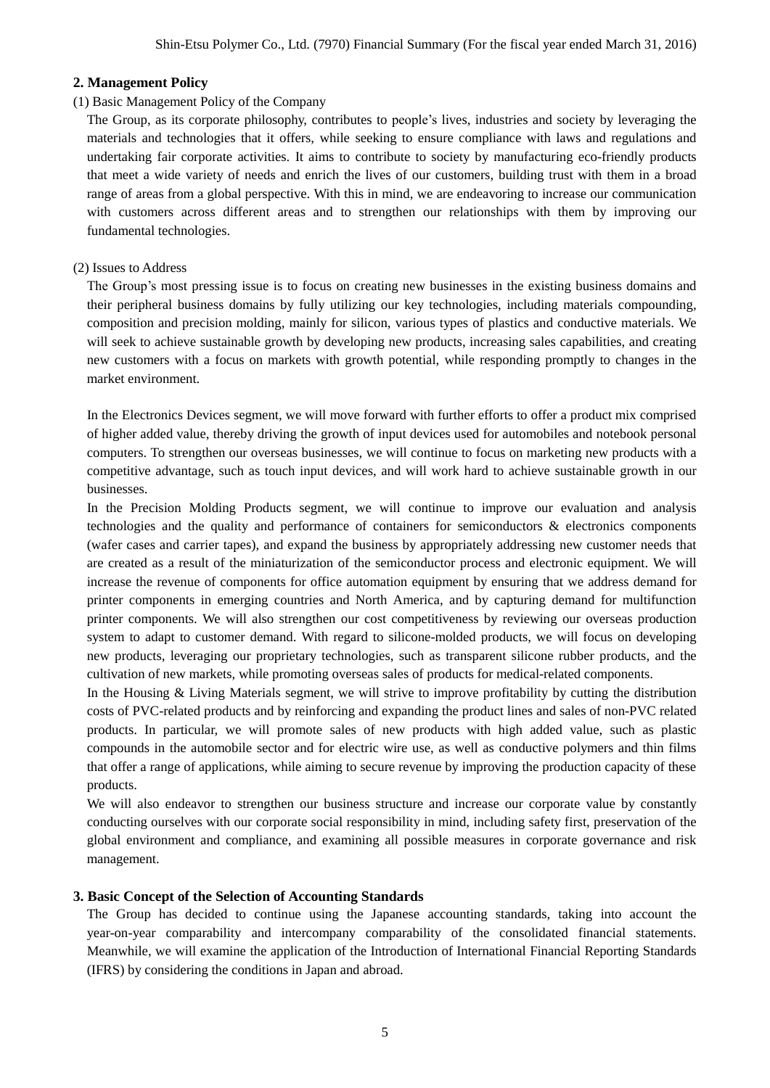# **2. Management Policy**

# (1) Basic Management Policy of the Company

The Group, as its corporate philosophy, contributes to people's lives, industries and society by leveraging the materials and technologies that it offers, while seeking to ensure compliance with laws and regulations and undertaking fair corporate activities. It aims to contribute to society by manufacturing eco-friendly products that meet a wide variety of needs and enrich the lives of our customers, building trust with them in a broad range of areas from a global perspective. With this in mind, we are endeavoring to increase our communication with customers across different areas and to strengthen our relationships with them by improving our fundamental technologies.

# (2) Issues to Address

The Group's most pressing issue is to focus on creating new businesses in the existing business domains and their peripheral business domains by fully utilizing our key technologies, including materials compounding, composition and precision molding, mainly for silicon, various types of plastics and conductive materials. We will seek to achieve sustainable growth by developing new products, increasing sales capabilities, and creating new customers with a focus on markets with growth potential, while responding promptly to changes in the market environment.

In the Electronics Devices segment, we will move forward with further efforts to offer a product mix comprised of higher added value, thereby driving the growth of input devices used for automobiles and notebook personal computers. To strengthen our overseas businesses, we will continue to focus on marketing new products with a competitive advantage, such as touch input devices, and will work hard to achieve sustainable growth in our businesses.

In the Precision Molding Products segment, we will continue to improve our evaluation and analysis technologies and the quality and performance of containers for semiconductors & electronics components (wafer cases and carrier tapes), and expand the business by appropriately addressing new customer needs that are created as a result of the miniaturization of the semiconductor process and electronic equipment. We will increase the revenue of components for office automation equipment by ensuring that we address demand for printer components in emerging countries and North America, and by capturing demand for multifunction printer components. We will also strengthen our cost competitiveness by reviewing our overseas production system to adapt to customer demand. With regard to silicone-molded products, we will focus on developing new products, leveraging our proprietary technologies, such as transparent silicone rubber products, and the cultivation of new markets, while promoting overseas sales of products for medical-related components.

In the Housing & Living Materials segment, we will strive to improve profitability by cutting the distribution costs of PVC-related products and by reinforcing and expanding the product lines and sales of non-PVC related products. In particular, we will promote sales of new products with high added value, such as plastic compounds in the automobile sector and for electric wire use, as well as conductive polymers and thin films that offer a range of applications, while aiming to secure revenue by improving the production capacity of these products.

We will also endeavor to strengthen our business structure and increase our corporate value by constantly conducting ourselves with our corporate social responsibility in mind, including safety first, preservation of the global environment and compliance, and examining all possible measures in corporate governance and risk management.

# **3. Basic Concept of the Selection of Accounting Standards**

The Group has decided to continue using the Japanese accounting standards, taking into account the year-on-year comparability and intercompany comparability of the consolidated financial statements. Meanwhile, we will examine the application of the Introduction of International Financial Reporting Standards (IFRS) by considering the conditions in Japan and abroad.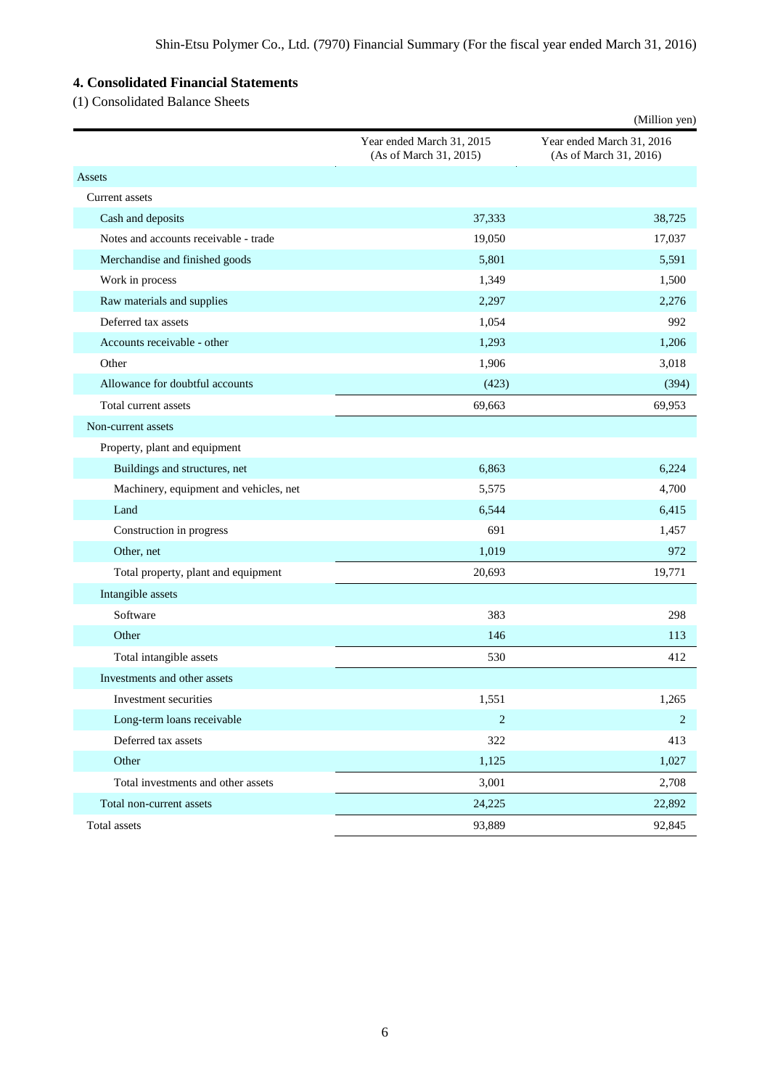# **4. Consolidated Financial Statements**

(1) Consolidated Balance Sheets

|                                        |                                                     | (Million yen)                                       |
|----------------------------------------|-----------------------------------------------------|-----------------------------------------------------|
|                                        | Year ended March 31, 2015<br>(As of March 31, 2015) | Year ended March 31, 2016<br>(As of March 31, 2016) |
| Assets                                 |                                                     |                                                     |
| <b>Current assets</b>                  |                                                     |                                                     |
| Cash and deposits                      | 37,333                                              | 38,725                                              |
| Notes and accounts receivable - trade  | 19,050                                              | 17,037                                              |
| Merchandise and finished goods         | 5,801                                               | 5,591                                               |
| Work in process                        | 1,349                                               | 1,500                                               |
| Raw materials and supplies             | 2,297                                               | 2,276                                               |
| Deferred tax assets                    | 1,054                                               | 992                                                 |
| Accounts receivable - other            | 1,293                                               | 1,206                                               |
| Other                                  | 1,906                                               | 3,018                                               |
| Allowance for doubtful accounts        | (423)                                               | (394)                                               |
| Total current assets                   | 69,663                                              | 69,953                                              |
| Non-current assets                     |                                                     |                                                     |
| Property, plant and equipment          |                                                     |                                                     |
| Buildings and structures, net          | 6,863                                               | 6,224                                               |
| Machinery, equipment and vehicles, net | 5,575                                               | 4,700                                               |
| Land                                   | 6,544                                               | 6,415                                               |
| Construction in progress               | 691                                                 | 1,457                                               |
| Other, net                             | 1,019                                               | 972                                                 |
| Total property, plant and equipment    | 20,693                                              | 19,771                                              |
| Intangible assets                      |                                                     |                                                     |
| Software                               | 383                                                 | 298                                                 |
| Other                                  | 146                                                 | 113                                                 |
| Total intangible assets                | 530                                                 | 412                                                 |
| Investments and other assets           |                                                     |                                                     |
| Investment securities                  | 1,551                                               | 1,265                                               |
| Long-term loans receivable             | $\sqrt{2}$                                          | $\overline{2}$                                      |
| Deferred tax assets                    | 322                                                 | 413                                                 |
| Other                                  | 1,125                                               | 1,027                                               |
| Total investments and other assets     | 3,001                                               | 2,708                                               |
| Total non-current assets               | 24,225                                              | 22,892                                              |
| Total assets                           | 93,889                                              | 92,845                                              |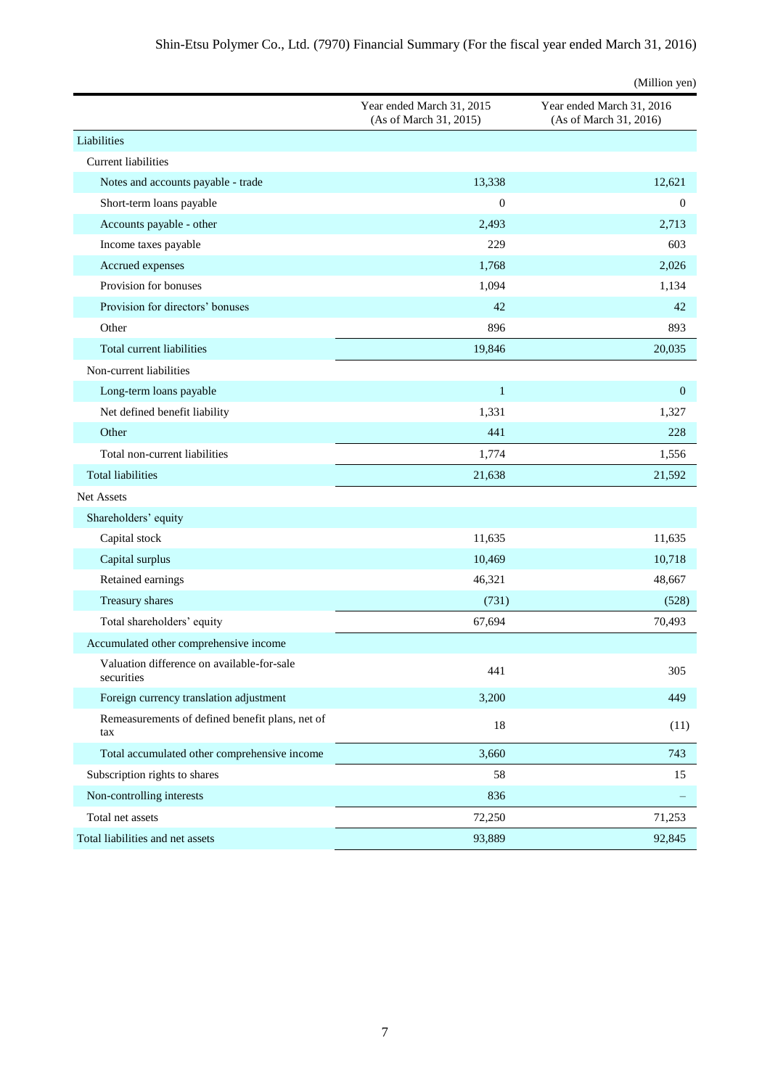|                                                          |                                                     | (Million yen)                                       |
|----------------------------------------------------------|-----------------------------------------------------|-----------------------------------------------------|
|                                                          | Year ended March 31, 2015<br>(As of March 31, 2015) | Year ended March 31, 2016<br>(As of March 31, 2016) |
| Liabilities                                              |                                                     |                                                     |
| <b>Current liabilities</b>                               |                                                     |                                                     |
| Notes and accounts payable - trade                       | 13,338                                              | 12,621                                              |
| Short-term loans payable                                 | $\boldsymbol{0}$                                    | $\overline{0}$                                      |
| Accounts payable - other                                 | 2,493                                               | 2,713                                               |
| Income taxes payable                                     | 229                                                 | 603                                                 |
| Accrued expenses                                         | 1,768                                               | 2,026                                               |
| Provision for bonuses                                    | 1,094                                               | 1,134                                               |
| Provision for directors' bonuses                         | 42                                                  | 42                                                  |
| Other                                                    | 896                                                 | 893                                                 |
| Total current liabilities                                | 19,846                                              | 20,035                                              |
| Non-current liabilities                                  |                                                     |                                                     |
| Long-term loans payable                                  | $\mathbf{1}$                                        | $\mathbf{0}$                                        |
| Net defined benefit liability                            | 1,331                                               | 1,327                                               |
| Other                                                    | 441                                                 | 228                                                 |
| Total non-current liabilities                            | 1,774                                               | 1,556                                               |
| <b>Total liabilities</b>                                 | 21,638                                              | 21,592                                              |
| <b>Net Assets</b>                                        |                                                     |                                                     |
| Shareholders' equity                                     |                                                     |                                                     |
| Capital stock                                            | 11,635                                              | 11,635                                              |
| Capital surplus                                          | 10,469                                              | 10,718                                              |
| Retained earnings                                        | 46,321                                              | 48,667                                              |
| Treasury shares                                          | (731)                                               | (528)                                               |
| Total shareholders' equity                               | 67,694                                              | 70,493                                              |
| Accumulated other comprehensive income                   |                                                     |                                                     |
| Valuation difference on available-for-sale<br>securities | 441                                                 | 305                                                 |
| Foreign currency translation adjustment                  | 3,200                                               | 449                                                 |
| Remeasurements of defined benefit plans, net of<br>tax   | $18\,$                                              | (11)                                                |
| Total accumulated other comprehensive income             | 3,660                                               | 743                                                 |
| Subscription rights to shares                            | 58                                                  | 15                                                  |
| Non-controlling interests                                | 836                                                 |                                                     |
| Total net assets                                         | 72,250                                              | 71,253                                              |
| Total liabilities and net assets                         | 93,889                                              | 92,845                                              |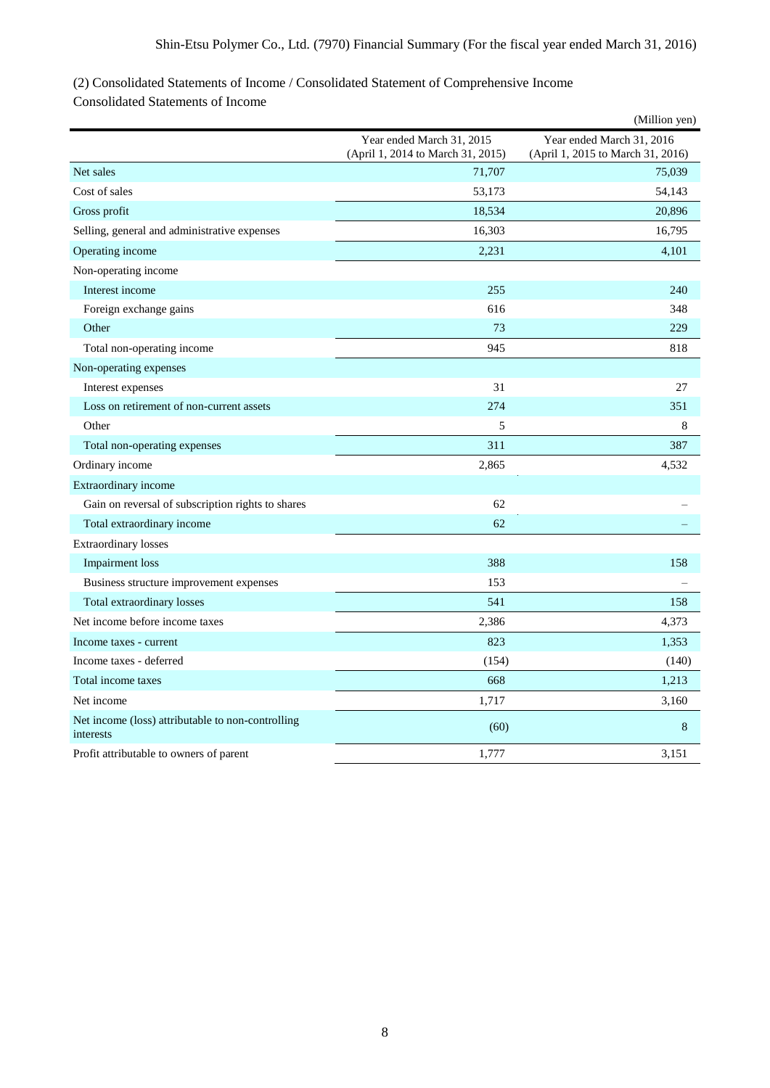# (2) Consolidated Statements of Income / Consolidated Statement of Comprehensive Income

Consolidated Statements of Income

|                                                                |                                                                | (Million yen)                                                  |
|----------------------------------------------------------------|----------------------------------------------------------------|----------------------------------------------------------------|
|                                                                | Year ended March 31, 2015<br>(April 1, 2014 to March 31, 2015) | Year ended March 31, 2016<br>(April 1, 2015 to March 31, 2016) |
| Net sales                                                      | 71,707                                                         | 75,039                                                         |
| Cost of sales                                                  | 53,173                                                         | 54,143                                                         |
| Gross profit                                                   | 18,534                                                         | 20,896                                                         |
| Selling, general and administrative expenses                   | 16,303                                                         | 16,795                                                         |
| Operating income                                               | 2,231                                                          | 4,101                                                          |
| Non-operating income                                           |                                                                |                                                                |
| Interest income                                                | 255                                                            | 240                                                            |
| Foreign exchange gains                                         | 616                                                            | 348                                                            |
| Other                                                          | 73                                                             | 229                                                            |
| Total non-operating income                                     | 945                                                            | 818                                                            |
| Non-operating expenses                                         |                                                                |                                                                |
| Interest expenses                                              | 31                                                             | 27                                                             |
| Loss on retirement of non-current assets                       | 274                                                            | 351                                                            |
| Other                                                          | 5                                                              | 8                                                              |
| Total non-operating expenses                                   | 311                                                            | 387                                                            |
| Ordinary income                                                | 2,865                                                          | 4,532                                                          |
| Extraordinary income                                           |                                                                |                                                                |
| Gain on reversal of subscription rights to shares              | 62                                                             |                                                                |
| Total extraordinary income                                     | 62                                                             |                                                                |
| <b>Extraordinary losses</b>                                    |                                                                |                                                                |
| <b>Impairment</b> loss                                         | 388                                                            | 158                                                            |
| Business structure improvement expenses                        | 153                                                            |                                                                |
| Total extraordinary losses                                     | 541                                                            | 158                                                            |
| Net income before income taxes                                 | 2,386                                                          | 4,373                                                          |
| Income taxes - current                                         | 823                                                            | 1,353                                                          |
| Income taxes - deferred                                        | (154)                                                          | (140)                                                          |
| Total income taxes                                             | 668                                                            | 1,213                                                          |
| Net income                                                     | 1,717                                                          | 3,160                                                          |
| Net income (loss) attributable to non-controlling<br>interests | (60)                                                           | 8                                                              |
| Profit attributable to owners of parent                        | 1,777                                                          | 3,151                                                          |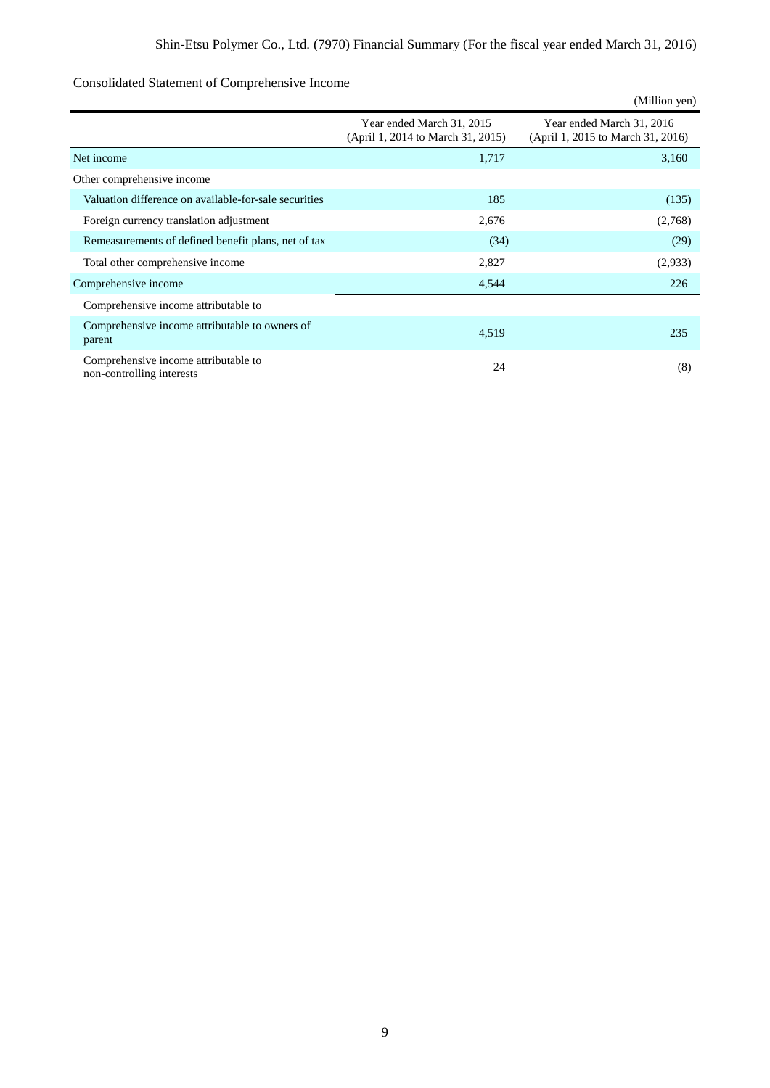# Consolidated Statement of Comprehensive Income

|                                                                   |                                                                | (Million yen)                                                  |
|-------------------------------------------------------------------|----------------------------------------------------------------|----------------------------------------------------------------|
|                                                                   | Year ended March 31, 2015<br>(April 1, 2014 to March 31, 2015) | Year ended March 31, 2016<br>(April 1, 2015 to March 31, 2016) |
| Net income                                                        | 1,717                                                          | 3,160                                                          |
| Other comprehensive income                                        |                                                                |                                                                |
| Valuation difference on available-for-sale securities             | 185                                                            | (135)                                                          |
| Foreign currency translation adjustment                           | 2,676                                                          | (2,768)                                                        |
| Remeasurements of defined benefit plans, net of tax               | (34)                                                           | (29)                                                           |
| Total other comprehensive income                                  | 2,827                                                          | (2,933)                                                        |
| Comprehensive income                                              | 4,544                                                          | 226                                                            |
| Comprehensive income attributable to                              |                                                                |                                                                |
| Comprehensive income attributable to owners of<br>parent          | 4,519                                                          | 235                                                            |
| Comprehensive income attributable to<br>non-controlling interests | 24                                                             | (8)                                                            |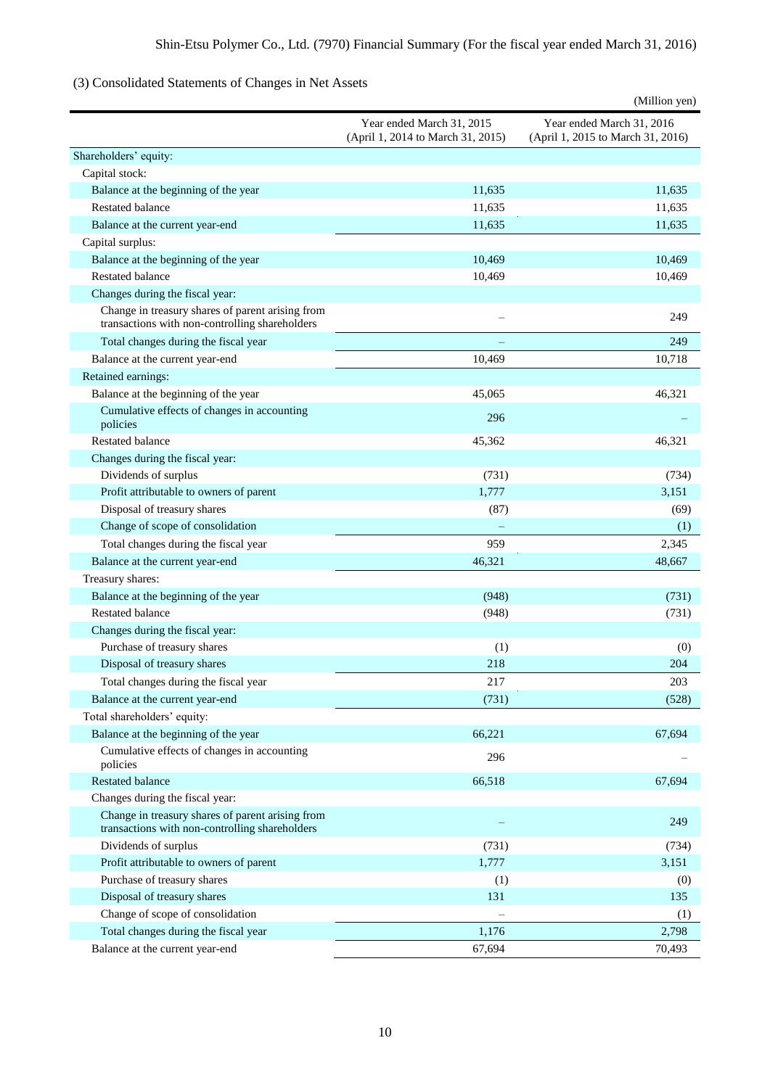# (3) Consolidated Statements of Changes in Net Assets

|                                                                                                    |                                                                | (Million yen)                                                  |
|----------------------------------------------------------------------------------------------------|----------------------------------------------------------------|----------------------------------------------------------------|
|                                                                                                    | Year ended March 31, 2015<br>(April 1, 2014 to March 31, 2015) | Year ended March 31, 2016<br>(April 1, 2015 to March 31, 2016) |
| Shareholders' equity:                                                                              |                                                                |                                                                |
| Capital stock:                                                                                     |                                                                |                                                                |
| Balance at the beginning of the year                                                               | 11,635                                                         | 11,635                                                         |
| <b>Restated balance</b>                                                                            | 11,635                                                         | 11,635                                                         |
| Balance at the current year-end                                                                    | 11,635                                                         | 11,635                                                         |
| Capital surplus:                                                                                   |                                                                |                                                                |
| Balance at the beginning of the year                                                               | 10,469                                                         | 10,469                                                         |
| <b>Restated balance</b>                                                                            | 10,469                                                         | 10,469                                                         |
| Changes during the fiscal year:                                                                    |                                                                |                                                                |
| Change in treasury shares of parent arising from<br>transactions with non-controlling shareholders |                                                                | 249                                                            |
| Total changes during the fiscal year                                                               |                                                                | 249                                                            |
| Balance at the current year-end                                                                    | 10.469                                                         | 10,718                                                         |
| Retained earnings:                                                                                 |                                                                |                                                                |
| Balance at the beginning of the year                                                               | 45,065                                                         | 46,321                                                         |
| Cumulative effects of changes in accounting                                                        | 296                                                            |                                                                |
| policies                                                                                           |                                                                |                                                                |
| <b>Restated balance</b>                                                                            | 45,362                                                         | 46,321                                                         |
| Changes during the fiscal year:                                                                    |                                                                |                                                                |
| Dividends of surplus                                                                               | (731)                                                          | (734)                                                          |
| Profit attributable to owners of parent                                                            | 1,777                                                          | 3,151                                                          |
| Disposal of treasury shares                                                                        | (87)                                                           | (69)                                                           |
| Change of scope of consolidation                                                                   |                                                                | (1)                                                            |
| Total changes during the fiscal year                                                               | 959                                                            | 2,345                                                          |
| Balance at the current year-end                                                                    | 46,321                                                         | 48,667                                                         |
| Treasury shares:                                                                                   |                                                                |                                                                |
| Balance at the beginning of the year                                                               | (948)                                                          | (731)                                                          |
| <b>Restated balance</b>                                                                            | (948)                                                          | (731)                                                          |
| Changes during the fiscal year:                                                                    |                                                                |                                                                |
| Purchase of treasury shares                                                                        | (1)                                                            | (0)                                                            |
| Disposal of treasury shares                                                                        | 218                                                            | 204                                                            |
| Total changes during the fiscal year                                                               | 217                                                            | 203                                                            |
| Balance at the current year-end                                                                    | (731)                                                          | (528)                                                          |
| Total shareholders' equity:                                                                        |                                                                |                                                                |
| Balance at the beginning of the year                                                               | 66,221                                                         | 67,694                                                         |
| Cumulative effects of changes in accounting<br>policies                                            | 296                                                            |                                                                |
| <b>Restated balance</b>                                                                            | 66,518                                                         | 67,694                                                         |
| Changes during the fiscal year:                                                                    |                                                                |                                                                |
| Change in treasury shares of parent arising from<br>transactions with non-controlling shareholders |                                                                | 249                                                            |
| Dividends of surplus                                                                               | (731)                                                          | (734)                                                          |
| Profit attributable to owners of parent                                                            | 1,777                                                          | 3,151                                                          |
| Purchase of treasury shares                                                                        | (1)                                                            | (0)                                                            |
| Disposal of treasury shares                                                                        | 131                                                            | 135                                                            |
| Change of scope of consolidation                                                                   |                                                                | (1)                                                            |
| Total changes during the fiscal year                                                               | 1,176                                                          | 2,798                                                          |
| Balance at the current year-end                                                                    | 67,694                                                         | 70,493                                                         |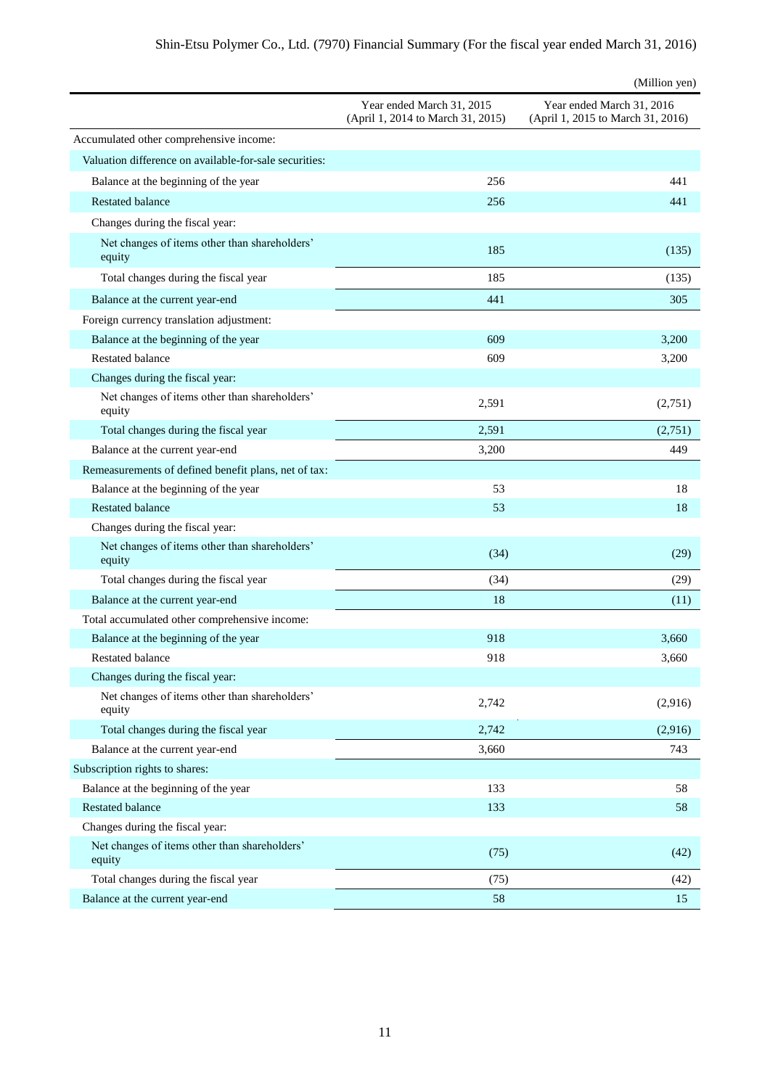|                                                         |                                                                | (Million yen)                                                  |
|---------------------------------------------------------|----------------------------------------------------------------|----------------------------------------------------------------|
|                                                         | Year ended March 31, 2015<br>(April 1, 2014 to March 31, 2015) | Year ended March 31, 2016<br>(April 1, 2015 to March 31, 2016) |
| Accumulated other comprehensive income:                 |                                                                |                                                                |
| Valuation difference on available-for-sale securities:  |                                                                |                                                                |
| Balance at the beginning of the year                    | 256                                                            | 441                                                            |
| <b>Restated balance</b>                                 | 256                                                            | 441                                                            |
| Changes during the fiscal year:                         |                                                                |                                                                |
| Net changes of items other than shareholders'<br>equity | 185                                                            | (135)                                                          |
| Total changes during the fiscal year                    | 185                                                            | (135)                                                          |
| Balance at the current year-end                         | 441                                                            | 305                                                            |
| Foreign currency translation adjustment:                |                                                                |                                                                |
| Balance at the beginning of the year                    | 609                                                            | 3,200                                                          |
| <b>Restated balance</b>                                 | 609                                                            | 3,200                                                          |
| Changes during the fiscal year:                         |                                                                |                                                                |
| Net changes of items other than shareholders'<br>equity | 2,591                                                          | (2,751)                                                        |
| Total changes during the fiscal year                    | 2,591                                                          | (2,751)                                                        |
| Balance at the current year-end                         | 3,200                                                          | 449                                                            |
| Remeasurements of defined benefit plans, net of tax:    |                                                                |                                                                |
| Balance at the beginning of the year                    | 53                                                             | 18                                                             |
| <b>Restated balance</b>                                 | 53                                                             | 18                                                             |
| Changes during the fiscal year:                         |                                                                |                                                                |
| Net changes of items other than shareholders'<br>equity | (34)                                                           | (29)                                                           |
| Total changes during the fiscal year                    | (34)                                                           | (29)                                                           |
| Balance at the current year-end                         | 18                                                             | (11)                                                           |
| Total accumulated other comprehensive income:           |                                                                |                                                                |
| Balance at the beginning of the year                    | 918                                                            | 3,660                                                          |
| Restated balance                                        | 918                                                            | 3,660                                                          |
| Changes during the fiscal year:                         |                                                                |                                                                |
| Net changes of items other than shareholders'<br>equity | 2,742                                                          | (2,916)                                                        |
| Total changes during the fiscal year                    | 2,742                                                          | (2,916)                                                        |
| Balance at the current year-end                         | 3,660                                                          | 743                                                            |
| Subscription rights to shares:                          |                                                                |                                                                |
| Balance at the beginning of the year                    | 133                                                            | 58                                                             |
| <b>Restated balance</b>                                 | 133                                                            | 58                                                             |
| Changes during the fiscal year:                         |                                                                |                                                                |
| Net changes of items other than shareholders'<br>equity | (75)                                                           | (42)                                                           |
| Total changes during the fiscal year                    | (75)                                                           | (42)                                                           |
| Balance at the current year-end                         | 58                                                             | 15                                                             |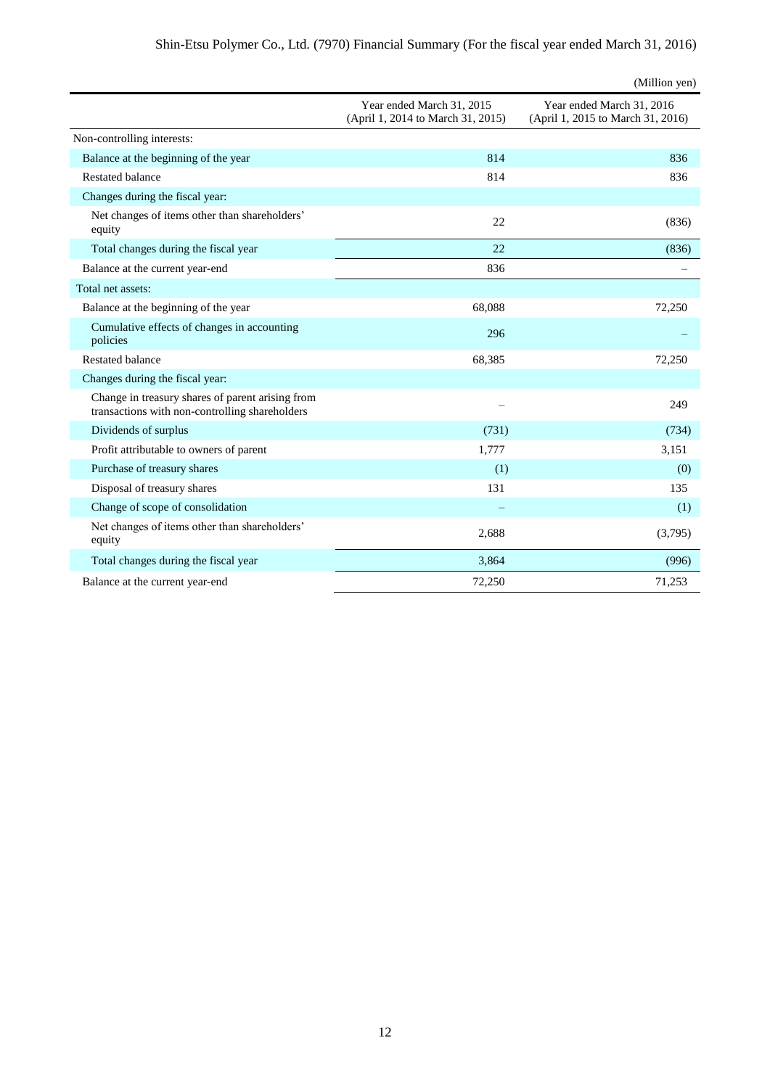|                                                                                                    |                                                                | (Million yen)                                                  |
|----------------------------------------------------------------------------------------------------|----------------------------------------------------------------|----------------------------------------------------------------|
|                                                                                                    | Year ended March 31, 2015<br>(April 1, 2014 to March 31, 2015) | Year ended March 31, 2016<br>(April 1, 2015 to March 31, 2016) |
| Non-controlling interests:                                                                         |                                                                |                                                                |
| Balance at the beginning of the year                                                               | 814                                                            | 836                                                            |
| <b>Restated balance</b>                                                                            | 814                                                            | 836                                                            |
| Changes during the fiscal year:                                                                    |                                                                |                                                                |
| Net changes of items other than shareholders'<br>equity                                            | 22                                                             | (836)                                                          |
| Total changes during the fiscal year                                                               | 22                                                             | (836)                                                          |
| Balance at the current year-end                                                                    | 836                                                            |                                                                |
| Total net assets:                                                                                  |                                                                |                                                                |
| Balance at the beginning of the year                                                               | 68,088                                                         | 72.250                                                         |
| Cumulative effects of changes in accounting<br>policies                                            | 296                                                            |                                                                |
| <b>Restated balance</b>                                                                            | 68,385                                                         | 72,250                                                         |
| Changes during the fiscal year:                                                                    |                                                                |                                                                |
| Change in treasury shares of parent arising from<br>transactions with non-controlling shareholders |                                                                | 249                                                            |
| Dividends of surplus                                                                               | (731)                                                          | (734)                                                          |
| Profit attributable to owners of parent                                                            | 1,777                                                          | 3,151                                                          |
| Purchase of treasury shares                                                                        | (1)                                                            | (0)                                                            |
| Disposal of treasury shares                                                                        | 131                                                            | 135                                                            |
| Change of scope of consolidation                                                                   |                                                                | (1)                                                            |
| Net changes of items other than shareholders'<br>equity                                            | 2,688                                                          | (3,795)                                                        |
| Total changes during the fiscal year                                                               | 3,864                                                          | (996)                                                          |
| Balance at the current year-end                                                                    | 72,250                                                         | 71,253                                                         |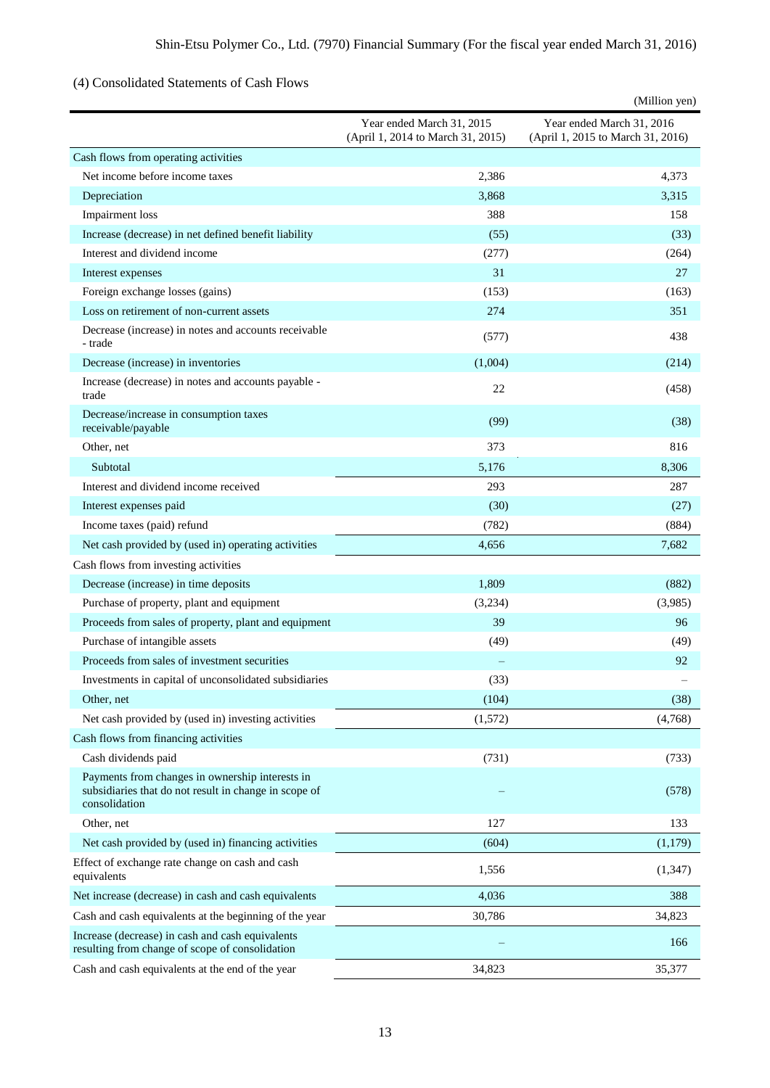# (4) Consolidated Statements of Cash Flows

|                                                                                                                           |                                                                | (Million yen)                                                  |
|---------------------------------------------------------------------------------------------------------------------------|----------------------------------------------------------------|----------------------------------------------------------------|
|                                                                                                                           | Year ended March 31, 2015<br>(April 1, 2014 to March 31, 2015) | Year ended March 31, 2016<br>(April 1, 2015 to March 31, 2016) |
| Cash flows from operating activities                                                                                      |                                                                |                                                                |
| Net income before income taxes                                                                                            | 2,386                                                          | 4,373                                                          |
| Depreciation                                                                                                              | 3,868                                                          | 3,315                                                          |
| Impairment loss                                                                                                           | 388                                                            | 158                                                            |
| Increase (decrease) in net defined benefit liability                                                                      | (55)                                                           | (33)                                                           |
| Interest and dividend income                                                                                              | (277)                                                          | (264)                                                          |
| Interest expenses                                                                                                         | 31                                                             | 27                                                             |
| Foreign exchange losses (gains)                                                                                           | (153)                                                          | (163)                                                          |
| Loss on retirement of non-current assets                                                                                  | 274                                                            | 351                                                            |
| Decrease (increase) in notes and accounts receivable<br>- trade                                                           | (577)                                                          | 438                                                            |
| Decrease (increase) in inventories                                                                                        | (1,004)                                                        | (214)                                                          |
| Increase (decrease) in notes and accounts payable -<br>trade                                                              | 22                                                             | (458)                                                          |
| Decrease/increase in consumption taxes<br>receivable/payable                                                              | (99)                                                           | (38)                                                           |
| Other, net                                                                                                                | 373                                                            | 816                                                            |
| Subtotal                                                                                                                  | 5,176                                                          | 8,306                                                          |
| Interest and dividend income received                                                                                     | 293                                                            | 287                                                            |
| Interest expenses paid                                                                                                    | (30)                                                           | (27)                                                           |
| Income taxes (paid) refund                                                                                                | (782)                                                          | (884)                                                          |
| Net cash provided by (used in) operating activities                                                                       | 4,656                                                          | 7,682                                                          |
| Cash flows from investing activities                                                                                      |                                                                |                                                                |
| Decrease (increase) in time deposits                                                                                      | 1,809                                                          | (882)                                                          |
| Purchase of property, plant and equipment                                                                                 | (3,234)                                                        | (3,985)                                                        |
| Proceeds from sales of property, plant and equipment                                                                      | 39                                                             | 96                                                             |
| Purchase of intangible assets                                                                                             | (49)                                                           | (49)                                                           |
| Proceeds from sales of investment securities                                                                              |                                                                | 92                                                             |
| Investments in capital of unconsolidated subsidiaries                                                                     | (33)                                                           |                                                                |
| Other, net                                                                                                                | (104)                                                          | (38)                                                           |
| Net cash provided by (used in) investing activities                                                                       | (1,572)                                                        | (4,768)                                                        |
| Cash flows from financing activities                                                                                      |                                                                |                                                                |
| Cash dividends paid                                                                                                       | (731)                                                          | (733)                                                          |
| Payments from changes in ownership interests in<br>subsidiaries that do not result in change in scope of<br>consolidation |                                                                | (578)                                                          |
| Other, net                                                                                                                | 127                                                            | 133                                                            |
| Net cash provided by (used in) financing activities                                                                       | (604)                                                          | (1,179)                                                        |
| Effect of exchange rate change on cash and cash<br>equivalents                                                            | 1,556                                                          | (1, 347)                                                       |
| Net increase (decrease) in cash and cash equivalents                                                                      | 4,036                                                          | 388                                                            |
| Cash and cash equivalents at the beginning of the year                                                                    | 30,786                                                         | 34,823                                                         |
| Increase (decrease) in cash and cash equivalents<br>resulting from change of scope of consolidation                       |                                                                | 166                                                            |
| Cash and cash equivalents at the end of the year                                                                          | 34,823                                                         | 35,377                                                         |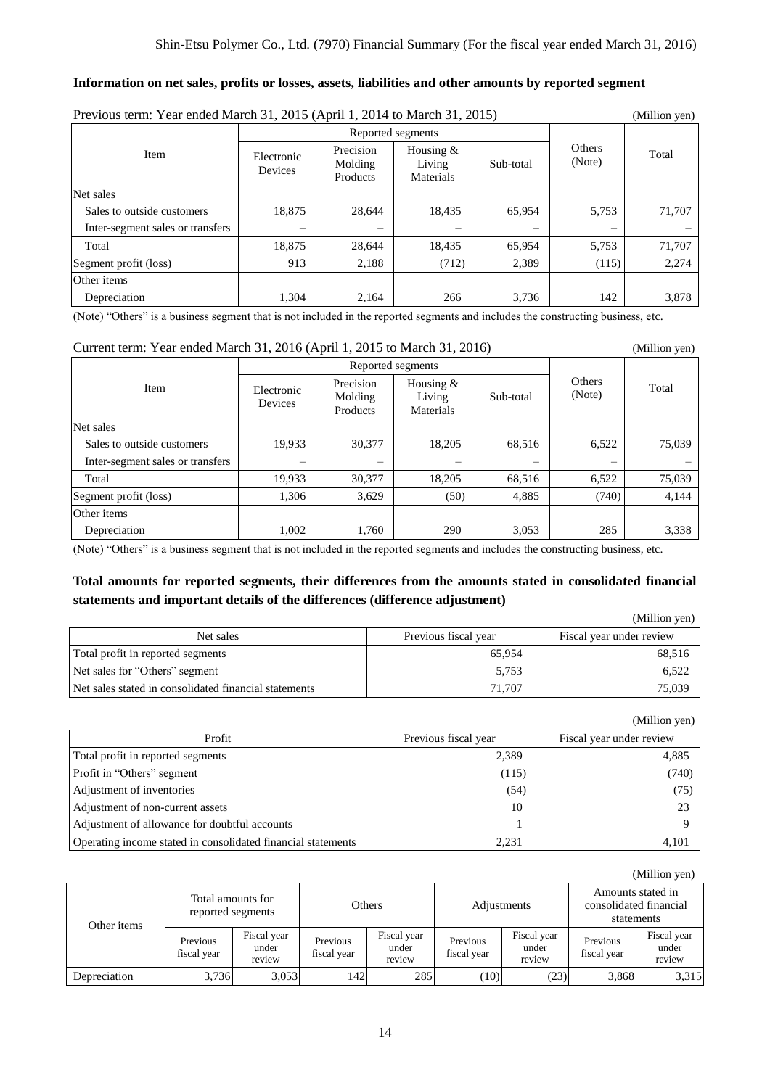#### **Information on net sales, profits or losses, assets, liabilities and other amounts by reported segment**

| Previous term: Year ended March 31, 2015 (April 1, 2014 to March 31, 2015) |                       |                                  |                                    |           |                         | (Million yen) |
|----------------------------------------------------------------------------|-----------------------|----------------------------------|------------------------------------|-----------|-------------------------|---------------|
|                                                                            |                       | Reported segments                |                                    |           |                         |               |
| Item                                                                       | Electronic<br>Devices | Precision<br>Molding<br>Products | Housing $&$<br>Living<br>Materials | Sub-total | <b>Others</b><br>(Note) | Total         |
| Net sales                                                                  |                       |                                  |                                    |           |                         |               |
| Sales to outside customers                                                 | 18,875                | 28,644                           | 18,435                             | 65,954    | 5,753                   | 71,707        |
| Inter-segment sales or transfers                                           |                       |                                  |                                    |           |                         |               |
| Total                                                                      | 18,875                | 28,644                           | 18,435                             | 65,954    | 5,753                   | 71,707        |
| Segment profit (loss)                                                      | 913                   | 2,188                            | (712)                              | 2,389     | (115)                   | 2,274         |
| Other items                                                                |                       |                                  |                                    |           |                         |               |
| Depreciation                                                               | 1,304                 | 2.164                            | 266                                | 3,736     | 142                     | 3,878         |

(Note) "Others" is a business segment that is not included in the reported segments and includes the constructing business, etc.

#### Current term: Year ended March 31, 2016 (April 1, 2015 to March 31, 2016) (Million yen)

|                                  |                          | Reported segments                |                                    |           |                  |        |
|----------------------------------|--------------------------|----------------------------------|------------------------------------|-----------|------------------|--------|
| Item                             | Electronic<br>Devices    | Precision<br>Molding<br>Products | Housing $&$<br>Living<br>Materials | Sub-total | Others<br>(Note) | Total  |
| Net sales                        |                          |                                  |                                    |           |                  |        |
| Sales to outside customers       | 19,933                   | 30,377                           | 18,205                             | 68,516    | 6,522            | 75,039 |
| Inter-segment sales or transfers | $\overline{\phantom{0}}$ |                                  |                                    | -         |                  |        |
| Total                            | 19,933                   | 30,377                           | 18,205                             | 68,516    | 6,522            | 75,039 |
| Segment profit (loss)            | 1,306                    | 3,629                            | (50)                               | 4,885     | (740)            | 4,144  |
| Other items                      |                          |                                  |                                    |           |                  |        |
| Depreciation                     | 1,002                    | 1,760                            | 290                                | 3,053     | 285              | 3,338  |

(Note) "Others" is a business segment that is not included in the reported segments and includes the constructing business, etc.

# **Total amounts for reported segments, their differences from the amounts stated in consolidated financial statements and important details of the differences (difference adjustment)**

|                                                       |                      | (Million yen)            |
|-------------------------------------------------------|----------------------|--------------------------|
| Net sales                                             | Previous fiscal year | Fiscal year under review |
| Total profit in reported segments                     | 65,954               | 68,516                   |
| Net sales for "Others" segment                        | 5.753                | 6.522                    |
| Net sales stated in consolidated financial statements | 71.707               | 75,039                   |

(Million yen)

|                                                              |                      | $($ whindii $\gamma$ Cii) |
|--------------------------------------------------------------|----------------------|---------------------------|
| Profit                                                       | Previous fiscal year | Fiscal year under review  |
| Total profit in reported segments                            | 2,389                | 4,885                     |
| Profit in "Others" segment                                   | (115)                | (740)                     |
| Adjustment of inventories                                    | (54)                 | (75)                      |
| Adjustment of non-current assets                             | 10                   | 23                        |
| Adjustment of allowance for doubtful accounts                |                      |                           |
| Operating income stated in consolidated financial statements | 2,231                | 4.101                     |

|              |                                        |                                |                         |                                |                         |                                |                                                           | (Million yen)                  |
|--------------|----------------------------------------|--------------------------------|-------------------------|--------------------------------|-------------------------|--------------------------------|-----------------------------------------------------------|--------------------------------|
| Other items  | Total amounts for<br>reported segments |                                | Others                  |                                | Adjustments             |                                | Amounts stated in<br>consolidated financial<br>statements |                                |
|              | Previous<br>fiscal year                | Fiscal year<br>under<br>review | Previous<br>fiscal year | Fiscal year<br>under<br>review | Previous<br>fiscal year | Fiscal year<br>under<br>review | Previous<br>fiscal year                                   | Fiscal year<br>under<br>review |
| Depreciation | 3,736                                  | 3,053                          | 1421                    | 285                            | (10)                    | (23)                           | 3,868                                                     | 3,315                          |